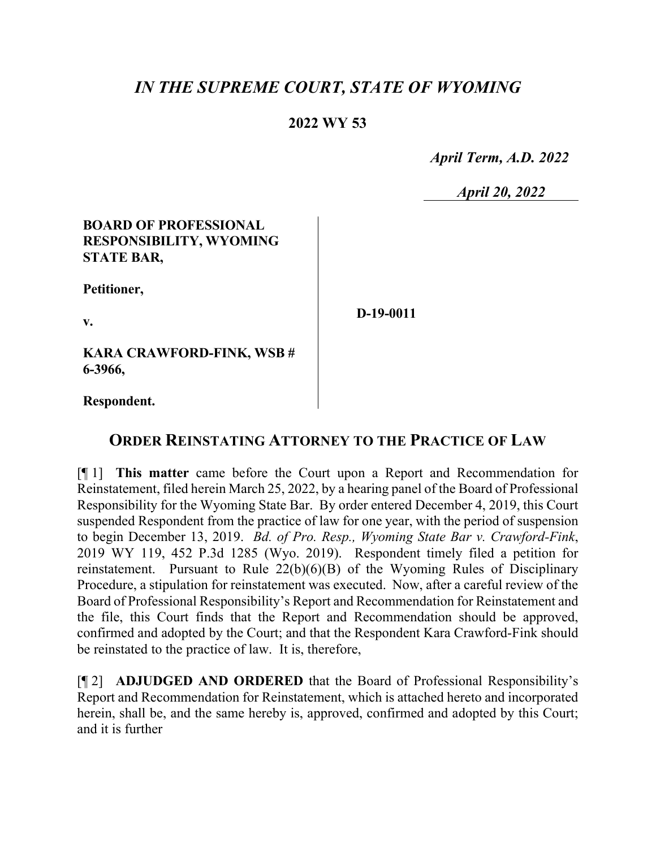# *IN THE SUPREME COURT, STATE OF WYOMING*

## **2022 WY 53**

 *April Term, A.D. 2022*

*April 20, 2022*

### **BOARD OF PROFESSIONAL RESPONSIBILITY, WYOMING STATE BAR,**

**Petitioner,**

**v.**

**D-19-0011**

**KARA CRAWFORD-FINK, WSB # 6-3966,**

**Respondent.**

## **ORDER REINSTATING ATTORNEY TO THE PRACTICE OF LAW**

[¶ 1] **This matter** came before the Court upon a Report and Recommendation for Reinstatement, filed herein March 25, 2022, by a hearing panel of the Board of Professional Responsibility for the Wyoming State Bar. By order entered December 4, 2019, this Court suspended Respondent from the practice of law for one year, with the period of suspension to begin December 13, 2019. *Bd. of Pro. Resp., Wyoming State Bar v. Crawford-Fink*, 2019 WY 119, 452 P.3d 1285 (Wyo. 2019). Respondent timely filed a petition for reinstatement. Pursuant to Rule 22(b)(6)(B) of the Wyoming Rules of Disciplinary Procedure, a stipulation for reinstatement was executed. Now, after a careful review of the Board of Professional Responsibility's Report and Recommendation for Reinstatement and the file, this Court finds that the Report and Recommendation should be approved, confirmed and adopted by the Court; and that the Respondent Kara Crawford-Fink should be reinstated to the practice of law. It is, therefore,

[¶ 2] **ADJUDGED AND ORDERED** that the Board of Professional Responsibility's Report and Recommendation for Reinstatement, which is attached hereto and incorporated herein, shall be, and the same hereby is, approved, confirmed and adopted by this Court; and it is further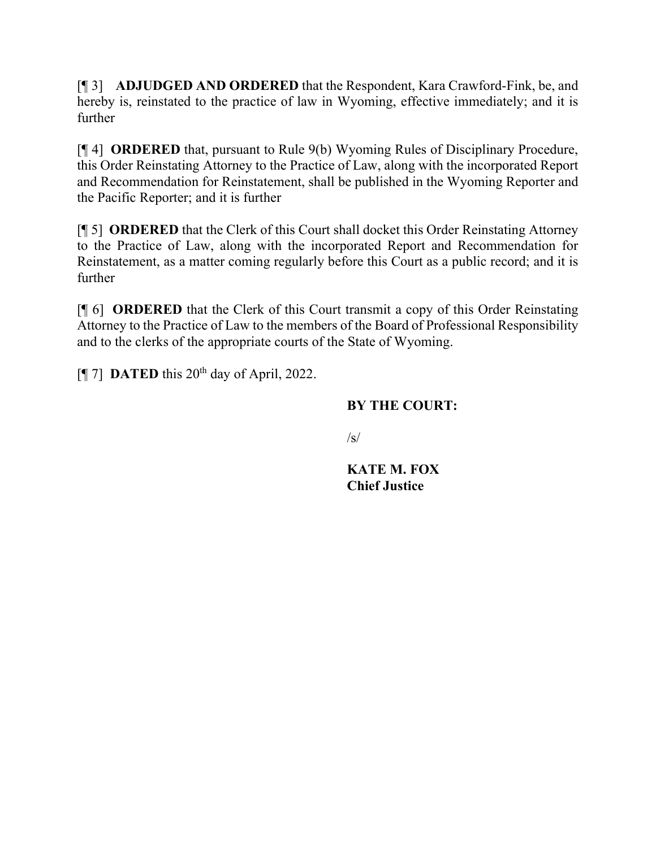[¶ 3] **ADJUDGED AND ORDERED** that the Respondent, Kara Crawford-Fink, be, and hereby is, reinstated to the practice of law in Wyoming, effective immediately; and it is further

[¶ 4] **ORDERED** that, pursuant to Rule 9(b) Wyoming Rules of Disciplinary Procedure, this Order Reinstating Attorney to the Practice of Law, along with the incorporated Report and Recommendation for Reinstatement, shall be published in the Wyoming Reporter and the Pacific Reporter; and it is further

[¶ 5] **ORDERED** that the Clerk of this Court shall docket this Order Reinstating Attorney to the Practice of Law, along with the incorporated Report and Recommendation for Reinstatement, as a matter coming regularly before this Court as a public record; and it is further

[¶ 6] **ORDERED** that the Clerk of this Court transmit a copy of this Order Reinstating Attorney to the Practice of Law to the members of the Board of Professional Responsibility and to the clerks of the appropriate courts of the State of Wyoming.

 $[$ [ $\degree$ ] **DATED** this 20<sup>th</sup> day of April, 2022.

# **BY THE COURT:**

 $\sqrt{s}$ 

**KATE M. FOX Chief Justice**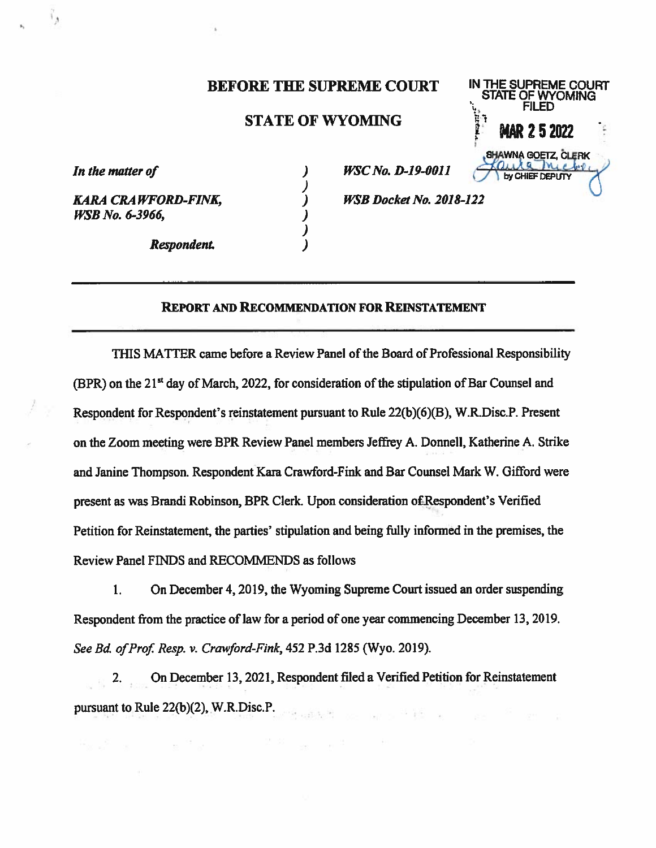#### **BEFORE THE SUPREME COURT**

### **STATE OF WYOMING**

 $\mathcal{Y}$ 

 $\lambda$ 

)

In the matter of

ر ا

**KARA CRAWFORD-FINK, WSB No. 6-3966.** 

Respondent.

 $\alpha$  and  $\alpha$  and  $\alpha$  and  $\alpha$ 

**WSC No. D-19-0011** 

**WSB Docket No. 2018-122** 

#### **REPORT AND RECOMMENDATION FOR REINSTATEMENT**

THIS MATTER came before a Review Panel of the Board of Professional Responsibility (BPR) on the 21<sup>st</sup> day of March, 2022, for consideration of the stipulation of Bar Counsel and Respondent for Respondent's reinstatement pursuant to Rule 22(b)(6)(B), W.R.Disc.P. Present on the Zoom meeting were BPR Review Panel members Jeffrey A. Donnell, Katherine A. Strike and Janine Thompson. Respondent Kara Crawford-Fink and Bar Counsel Mark W. Gifford were present as was Brandi Robinson, BPR Clerk. Upon consideration of Respondent's Verified Petition for Reinstatement, the parties' stipulation and being fully informed in the premises, the Review Panel FINDS and RECOMMENDS as follows

On December 4, 2019, the Wyoming Supreme Court issued an order suspending  $1.$ Respondent from the practice of law for a period of one year commencing December 13, 2019. See Bd. of Prof. Resp. v. Crawford-Fink, 452 P.3d 1285 (Wyo. 2019).

On December 13, 2021, Respondent filed a Verified Petition for Reinstatement 2. pursuant to Rule 22(b)(2), W.R.Disc.P.

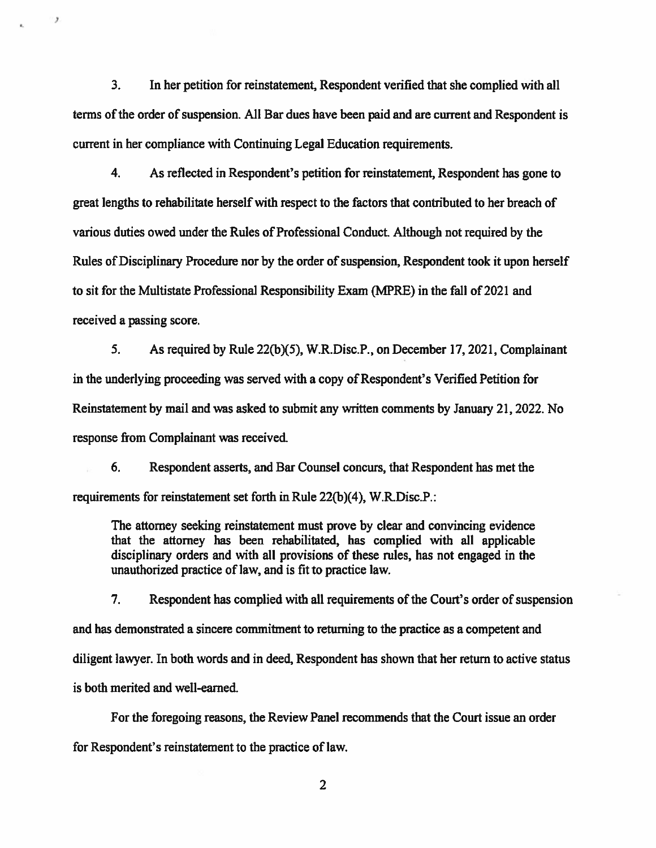$3<sub>1</sub>$ In her petition for reinstatement, Respondent verified that she complied with all terms of the order of suspension. All Bar dues have been paid and are current and Respondent is current in her compliance with Continuing Legal Education requirements.

 $\overline{z}$ 

 $4<sub>1</sub>$ As reflected in Respondent's petition for reinstatement, Respondent has gone to great lengths to rehabilitate herself with respect to the factors that contributed to her breach of various duties owed under the Rules of Professional Conduct. Although not required by the Rules of Disciplinary Procedure nor by the order of suspension, Respondent took it upon herself to sit for the Multistate Professional Responsibility Exam (MPRE) in the fall of 2021 and received a passing score.

 $5.$ As required by Rule 22(b)(5), W.R.Disc.P., on December 17, 2021, Complainant in the underlying proceeding was served with a copy of Respondent's Verified Petition for Reinstatement by mail and was asked to submit any written comments by January 21, 2022. No response from Complainant was received.

Respondent asserts, and Bar Counsel concurs, that Respondent has met the 6. requirements for reinstatement set forth in Rule 22(b)(4), W.R.Disc.P.:

The attorney seeking reinstatement must prove by clear and convincing evidence that the attorney has been rehabilitated, has complied with all applicable disciplinary orders and with all provisions of these rules, has not engaged in the unauthorized practice of law, and is fit to practice law.

 $7<sub>1</sub>$ Respondent has complied with all requirements of the Court's order of suspension and has demonstrated a sincere commitment to returning to the practice as a competent and diligent lawyer. In both words and in deed, Respondent has shown that her return to active status is both merited and well-earned.

For the foregoing reasons, the Review Panel recommends that the Court issue an order for Respondent's reinstatement to the practice of law.

 $\overline{2}$